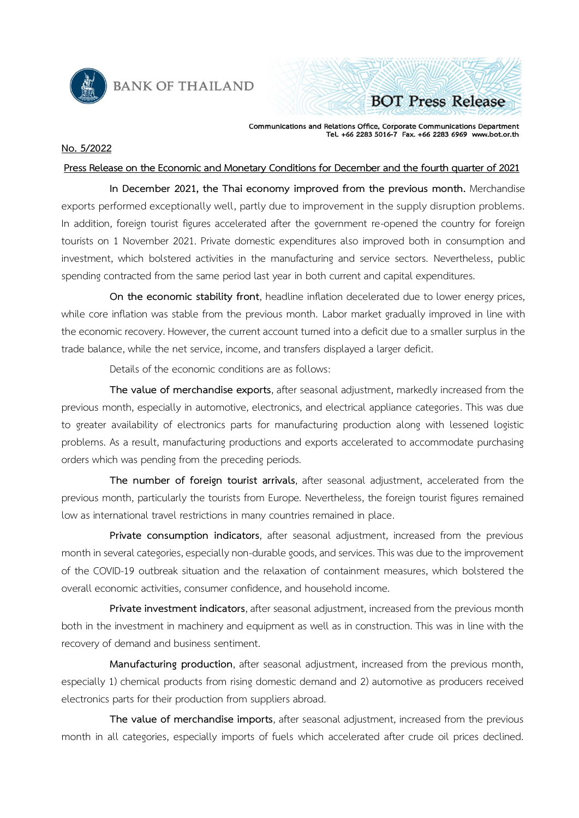

**BANK OF THAILAND** 

Communications and Relations Office, Corporate Communications Department<br>Tel. +66 2283 5016-7 Fax. +66 2283 6969 www.bot.or.th

**BOT Press Release** 

## **No. 5/2022**

## **Press Release on the Economic and Monetary Conditions for December and the fourth quarter of 2021**

**In December 2021, the Thai economy improved from the previous month.** Merchandise exports performed exceptionally well, partly due to improvement in the supply disruption problems. In addition, foreign tourist figures accelerated after the government re-opened the country for foreign tourists on 1 November 2021. Private domestic expenditures also improved both in consumption and investment, which bolstered activities in the manufacturing and service sectors. Nevertheless, public spending contracted from the same period last year in both current and capital expenditures.

**On the economic stability front**, headline inflation decelerated due to lower energy prices, while core inflation was stable from the previous month. Labor market gradually improved in line with the economic recovery. However, the current account turned into a deficit due to a smaller surplus in the trade balance, while the net service, income, and transfers displayed a larger deficit.

Details of the economic conditions are as follows:

**The value of merchandise exports**, after seasonal adjustment, markedly increased from the previous month, especially in automotive, electronics, and electrical appliance categories. This was due to greater availability of electronics parts for manufacturing production along with lessened logistic problems. As a result, manufacturing productions and exports accelerated to accommodate purchasing orders which was pending from the preceding periods.

**The number of foreign tourist arrivals**, after seasonal adjustment, accelerated from the previous month, particularly the tourists from Europe. Nevertheless, the foreign tourist figures remained low as international travel restrictions in many countries remained in place.

**Private consumption indicators**, after seasonal adjustment, increased from the previous month in several categories, especially non-durable goods, and services. This was due to the improvement of the COVID-19 outbreak situation and the relaxation of containment measures, which bolstered the overall economic activities, consumer confidence, and household income.

Private investment indicators, after seasonal adjustment, increased from the previous month both in the investment in machinery and equipment as well as in construction. This was in line with the recovery of demand and business sentiment.

**Manufacturing production**, after seasonal adjustment, increased from the previous month, especially 1) chemical products from rising domestic demand and 2) automotive as producers received electronics parts for their production from suppliers abroad.

**The value of merchandise imports**, after seasonal adjustment, increased from the previous month in all categories, especially imports of fuels which accelerated after crude oil prices declined.